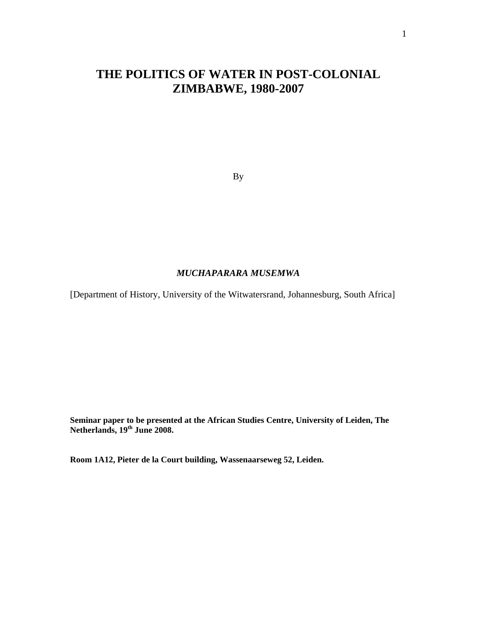# **THE POLITICS OF WATER IN POST-COLONIAL ZIMBABWE, 1980-2007**

By

## *MUCHAPARARA MUSEMWA*

[Department of History, University of the Witwatersrand, Johannesburg, South Africa]

**Seminar paper to be presented at the African Studies Centre, University of Leiden, The Netherlands, 19th June 2008.** 

**Room 1A12, Pieter de la Court building, Wassenaarseweg 52, Leiden.**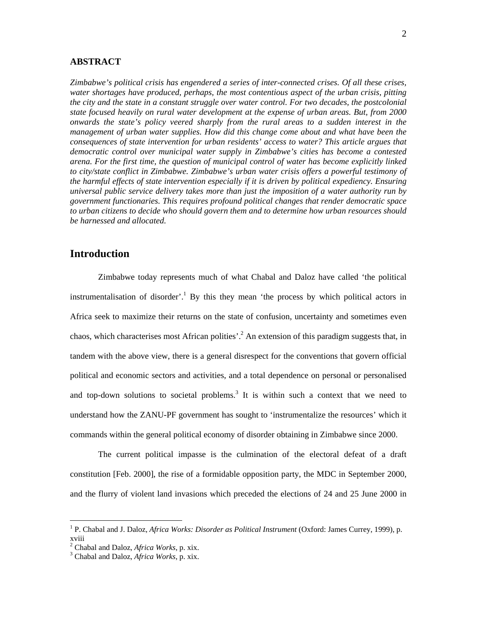#### **ABSTRACT**

*Zimbabwe's political crisis has engendered a series of inter-connected crises. Of all these crises, water shortages have produced, perhaps, the most contentious aspect of the urban crisis, pitting the city and the state in a constant struggle over water control. For two decades, the postcolonial state focused heavily on rural water development at the expense of urban areas. But, from 2000 onwards the state's policy veered sharply from the rural areas to a sudden interest in the management of urban water supplies. How did this change come about and what have been the consequences of state intervention for urban residents' access to water? This article argues that democratic control over municipal water supply in Zimbabwe's cities has become a contested arena. For the first time, the question of municipal control of water has become explicitly linked to city/state conflict in Zimbabwe. Zimbabwe's urban water crisis offers a powerful testimony of the harmful effects of state intervention especially if it is driven by political expediency. Ensuring universal public service delivery takes more than just the imposition of a water authority run by government functionaries. This requires profound political changes that render democratic space to urban citizens to decide who should govern them and to determine how urban resources should be harnessed and allocated.* 

## **Introduction**

Zimbabwe today represents much of what Chabal and Daloz have called 'the political instrumentalisation of disorder'.<sup>1</sup> By this they mean 'the process by which political actors in Africa seek to maximize their returns on the state of confusion, uncertainty and sometimes even chaos, which characterises most African polities'.<sup>2</sup> An extension of this paradigm suggests that, in tandem with the above view, there is a general disrespect for the conventions that govern official political and economic sectors and activities, and a total dependence on personal or personalised and top-down solutions to societal problems.<sup>3</sup> It is within such a context that we need to understand how the ZANU-PF government has sought to 'instrumentalize the resources' which it commands within the general political economy of disorder obtaining in Zimbabwe since 2000.

The current political impasse is the culmination of the electoral defeat of a draft constitution [Feb. 2000], the rise of a formidable opposition party, the MDC in September 2000, and the flurry of violent land invasions which preceded the elections of 24 and 25 June 2000 in

<sup>&</sup>lt;sup>1</sup> P. Chabal and J. Daloz, *Africa Works: Disorder as Political Instrument* (Oxford: James Currey, 1999), p. xviii

<sup>&</sup>lt;sup>2</sup> Chabal and Daloz, *Africa Works*, p. xix.<br><sup>3</sup> Chabal and Dalog, *Africa Works*, p. yiv.

Chabal and Daloz, *Africa Works*, p. xix.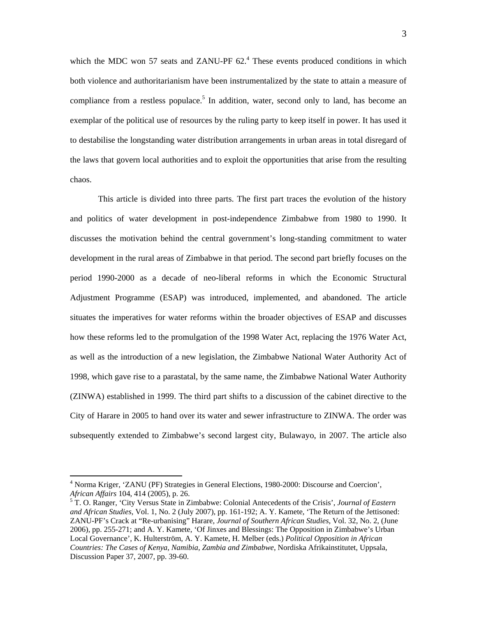which the MDC won 57 seats and ZANU-PF  $62<sup>4</sup>$  These events produced conditions in which both violence and authoritarianism have been instrumentalized by the state to attain a measure of compliance from a restless populace.<sup>5</sup> In addition, water, second only to land, has become an exemplar of the political use of resources by the ruling party to keep itself in power. It has used it to destabilise the longstanding water distribution arrangements in urban areas in total disregard of the laws that govern local authorities and to exploit the opportunities that arise from the resulting chaos.

This article is divided into three parts. The first part traces the evolution of the history and politics of water development in post-independence Zimbabwe from 1980 to 1990. It discusses the motivation behind the central government's long-standing commitment to water development in the rural areas of Zimbabwe in that period. The second part briefly focuses on the period 1990-2000 as a decade of neo-liberal reforms in which the Economic Structural Adjustment Programme (ESAP) was introduced, implemented, and abandoned. The article situates the imperatives for water reforms within the broader objectives of ESAP and discusses how these reforms led to the promulgation of the 1998 Water Act, replacing the 1976 Water Act, as well as the introduction of a new legislation, the Zimbabwe National Water Authority Act of 1998, which gave rise to a parastatal, by the same name, the Zimbabwe National Water Authority (ZINWA) established in 1999. The third part shifts to a discussion of the cabinet directive to the City of Harare in 2005 to hand over its water and sewer infrastructure to ZINWA. The order was subsequently extended to Zimbabwe's second largest city, Bulawayo, in 2007. The article also

<sup>&</sup>lt;sup>4</sup> Norma Kriger, 'ZANU (PF) Strategies in General Elections, 1980-2000: Discourse and Coercion', *African Affairs* 104, 414 (2005), p. 26. 5

T. O. Ranger, 'City Versus State in Zimbabwe: Colonial Antecedents of the Crisis', *Journal of Eastern and African Studies*, Vol. 1, No. 2 (July 2007), pp. 161-192; A. Y. Kamete, 'The Return of the Jettisoned: ZANU-PF's Crack at "Re-urbanising" Harare, *Journal of Southern African Studies*, Vol. 32, No. 2, (June 2006), pp. 255-271; and A. Y. Kamete, 'Of Jinxes and Blessings: The Opposition in Zimbabwe's Urban Local Governance', K. Hulterström, A. Y. Kamete, H. Melber (eds.) *Political Opposition in African Countries: The Cases of Kenya, Namibia, Zambia and Zimbabwe*, Nordiska Afrikainstitutet, Uppsala, Discussion Paper 37, 2007, pp. 39-60.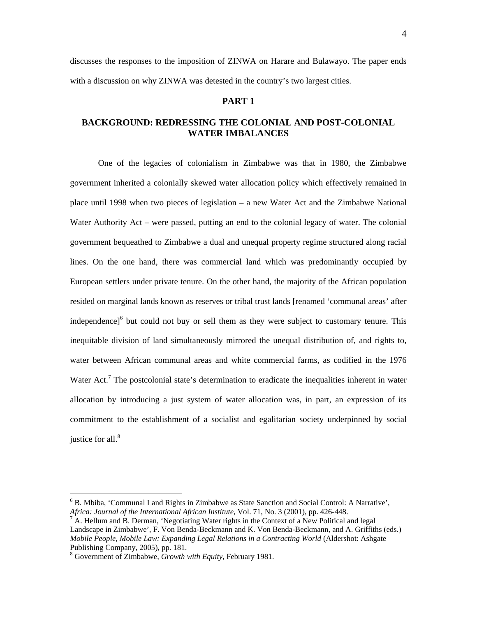discusses the responses to the imposition of ZINWA on Harare and Bulawayo. The paper ends with a discussion on why ZINWA was detested in the country's two largest cities.

#### **PART 1**

## **BACKGROUND: REDRESSING THE COLONIAL AND POST-COLONIAL WATER IMBALANCES**

One of the legacies of colonialism in Zimbabwe was that in 1980, the Zimbabwe government inherited a colonially skewed water allocation policy which effectively remained in place until 1998 when two pieces of legislation – a new Water Act and the Zimbabwe National Water Authority Act – were passed, putting an end to the colonial legacy of water. The colonial government bequeathed to Zimbabwe a dual and unequal property regime structured along racial lines. On the one hand, there was commercial land which was predominantly occupied by European settlers under private tenure. On the other hand, the majority of the African population resided on marginal lands known as reserves or tribal trust lands [renamed 'communal areas' after independence]<sup>6</sup> but could not buy or sell them as they were subject to customary tenure. This inequitable division of land simultaneously mirrored the unequal distribution of, and rights to, water between African communal areas and white commercial farms, as codified in the 1976 Water Act.<sup>7</sup> The postcolonial state's determination to eradicate the inequalities inherent in water allocation by introducing a just system of water allocation was, in part, an expression of its commitment to the establishment of a socialist and egalitarian society underpinned by social justice for all.<sup>8</sup>

 $6$  B. Mbiba, 'Communal Land Rights in Zimbabwe as State Sanction and Social Control: A Narrative', *Africa: Journal of the International African Institute*, Vol. 71, No. 3 (2001), pp. 426-448. 7

 $<sup>7</sup>$  A. Hellum and B. Derman, 'Negotiating Water rights in the Context of a New Political and legal</sup> Landscape in Zimbabwe', F. Von Benda-Beckmann and K. Von Benda-Beckmann, and A. Griffiths (eds.) *Mobile People, Mobile Law: Expanding Legal Relations in a Contracting World* (Aldershot: Ashgate Publishing Company, 2005), pp. 181.

<sup>8</sup> Government of Zimbabwe, *Growth with Equity*, February 1981.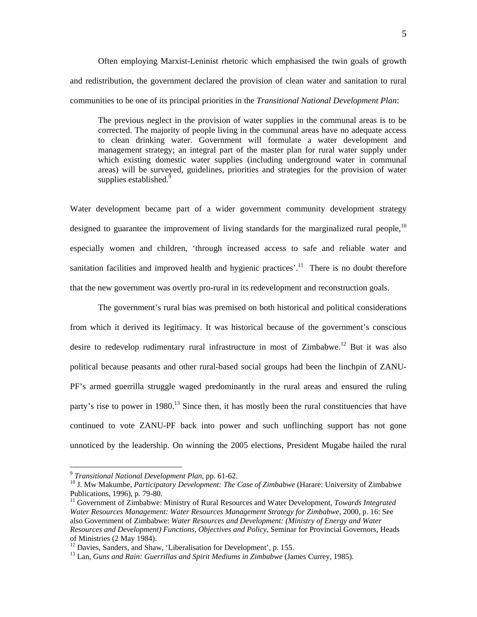Often employing Marxist-Leninist rhetoric which emphasised the twin goals of growth and redistribution, the government declared the provision of clean water and sanitation to rural communities to be one of its principal priorities in the *Transitional National Development Plan*:

The previous neglect in the provision of water supplies in the communal areas is to be corrected. The majority of people living in the communal areas have no adequate access to clean drinking water. Government will formulate a water development and management strategy; an integral part of the master plan for rural water supply under which existing domestic water supplies (including underground water in communal areas) will be surveyed, guidelines, priorities and strategies for the provision of water supplies established.<sup>9</sup>

Water development became part of a wider government community development strategy designed to guarantee the improvement of living standards for the marginalized rural people,  $10$ especially women and children, 'through increased access to safe and reliable water and sanitation facilities and improved health and hygienic practices'.<sup>11</sup> There is no doubt therefore that the new government was overtly pro-rural in its redevelopment and reconstruction goals.

 The government's rural bias was premised on both historical and political considerations from which it derived its legitimacy. It was historical because of the government's conscious desire to redevelop rudimentary rural infrastructure in most of Zimbabwe.<sup>12</sup> But it was also political because peasants and other rural-based social groups had been the linchpin of ZANU-PF's armed guerrilla struggle waged predominantly in the rural areas and ensured the ruling party's rise to power in  $1980$ <sup>13</sup> Since then, it has mostly been the rural constituencies that have continued to vote ZANU-PF back into power and such unflinching support has not gone unnoticed by the leadership. On winning the 2005 elections, President Mugabe hailed the rural

 $9$  Transitional National Development Plan, pp. 61-62.

<sup>&</sup>lt;sup>10</sup> J. Mw Makumbe, *Participatory Development: The Case of Zimbabwe* (Harare: University of Zimbabwe Publications, 1996), p. 79-80.

<sup>11</sup> Government of Zimbabwe: Ministry of Rural Resources and Water Development, *Towards Integrated Water Resources Management: Water Resources Management Strategy for Zimbabwe*, 2000, p. 16: See also Government of Zimbabwe: *Water Resources and Development: (Ministry of Energy and Water Resources and Development) Functions, Objectives and Policy*, Seminar for Provincial Governors, Heads of Ministries (2 May 1984).<br><sup>12</sup> Davies, Sanders, and Shaw, 'Liberalisation for Development', p. 155.

<sup>&</sup>lt;sup>13</sup> Lan, *Guns and Rain: Guerrillas and Spirit Mediums in Zimbabwe (James Currey, 1985).*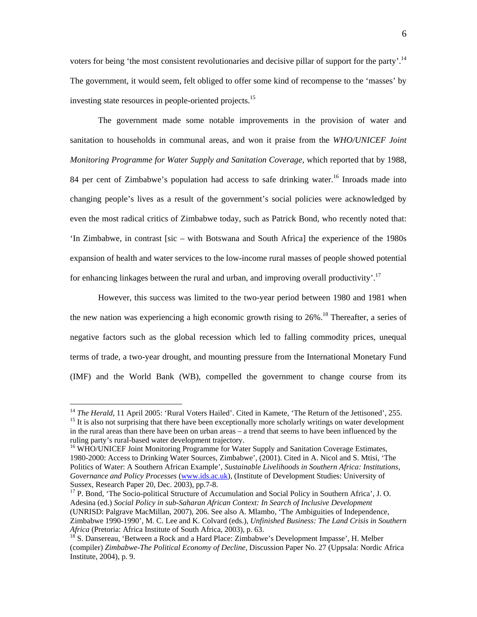voters for being 'the most consistent revolutionaries and decisive pillar of support for the party'.<sup>14</sup> The government, it would seem, felt obliged to offer some kind of recompense to the 'masses' by investing state resources in people-oriented projects.15

The government made some notable improvements in the provision of water and sanitation to households in communal areas, and won it praise from the *WHO/UNICEF Joint Monitoring Programme for Water Supply and Sanitation Coverage*, which reported that by 1988, 84 per cent of Zimbabwe's population had access to safe drinking water.<sup>16</sup> Inroads made into changing people's lives as a result of the government's social policies were acknowledged by even the most radical critics of Zimbabwe today, such as Patrick Bond, who recently noted that: 'In Zimbabwe, in contrast [sic – with Botswana and South Africa] the experience of the 1980s expansion of health and water services to the low-income rural masses of people showed potential for enhancing linkages between the rural and urban, and improving overall productivity'.<sup>17</sup>

However, this success was limited to the two-year period between 1980 and 1981 when the new nation was experiencing a high economic growth rising to  $26\%$ .<sup>18</sup> Thereafter, a series of negative factors such as the global recession which led to falling commodity prices, unequal terms of trade, a two-year drought, and mounting pressure from the International Monetary Fund (IMF) and the World Bank (WB), compelled the government to change course from its

<sup>&</sup>lt;sup>14</sup> *The Herald*, 11 April 2005: 'Rural Voters Hailed'. Cited in Kamete, 'The Return of the Jettisoned', 255.<br><sup>15</sup> It is also not surprising that there have been exceptionally more scholarly writings on water development in the rural areas than there have been on urban areas – a trend that seems to have been influenced by the ruling party's rural-based water development trajectory.

<sup>&</sup>lt;sup>16</sup> WHO/UNICEF Joint Monitoring Programme for Water Supply and Sanitation Coverage Estimates, 1980-2000: Access to Drinking Water Sources, Zimbabwe', (2001). Cited in A. Nicol and S. Mtisi, 'The Politics of Water: A Southern African Example', *Sustainable Livelihoods in Southern Africa: Institutions, Governance and Policy Processes* (www.ids.ac.uk), (Institute of Development Studies: University of Sussex, Research Paper 20, Dec. 2003), pp.7-8.<br><sup>17</sup> P. Bond, 'The Socio-political Structure of Accumulation and Social Policy in Southern Africa', J. O.

Adesina (ed.) *Social Policy in sub-Saharan African Context: In Search of Inclusive Development*  (UNRISD: Palgrave MacMillan, 2007), 206. See also A. Mlambo, 'The Ambiguities of Independence, Zimbabwe 1990-1990', M. C. Lee and K. Colvard (eds.), *Unfinished Business: The Land Crisis in Southern Africa* (Pretoria: Africa Institute of South Africa, 2003), p. 63.<br><sup>18</sup> S. Dansereau, 'Between a Rock and a Hard Place: Zimbabwe's Development Impasse', H. Melber

<sup>(</sup>compiler) *Zimbabwe-The Political Economy of Decline*, Discussion Paper No. 27 (Uppsala: Nordic Africa Institute, 2004), p. 9.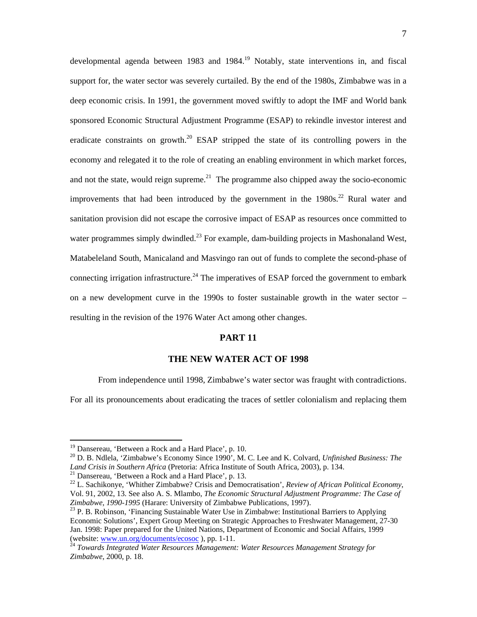developmental agenda between 1983 and 1984.<sup>19</sup> Notably, state interventions in, and fiscal support for, the water sector was severely curtailed. By the end of the 1980s, Zimbabwe was in a deep economic crisis. In 1991, the government moved swiftly to adopt the IMF and World bank sponsored Economic Structural Adjustment Programme (ESAP) to rekindle investor interest and eradicate constraints on growth.<sup>20</sup> ESAP stripped the state of its controlling powers in the economy and relegated it to the role of creating an enabling environment in which market forces, and not the state, would reign supreme.<sup>21</sup> The programme also chipped away the socio-economic improvements that had been introduced by the government in the  $1980s$ <sup>22</sup> Rural water and sanitation provision did not escape the corrosive impact of ESAP as resources once committed to water programmes simply dwindled.<sup>23</sup> For example, dam-building projects in Mashonaland West, Matabeleland South, Manicaland and Masvingo ran out of funds to complete the second-phase of connecting irrigation infrastructure.<sup>24</sup> The imperatives of ESAP forced the government to embark on a new development curve in the 1990s to foster sustainable growth in the water sector – resulting in the revision of the 1976 Water Act among other changes.

#### **PART 11**

## **THE NEW WATER ACT OF 1998**

From independence until 1998, Zimbabwe's water sector was fraught with contradictions.

For all its pronouncements about eradicating the traces of settler colonialism and replacing them

<sup>&</sup>lt;sup>19</sup> Dansereau, 'Between a Rock and a Hard Place', p. 10.

<sup>&</sup>lt;sup>20</sup> D. B. Ndlela, 'Zimbabwe's Economy Since 1990', M. C. Lee and K. Colvard, *Unfinished Business: The* Land Crisis in Southern Africa (Pretoria: Africa Institute of South Africa, 2003), p. 134.<br><sup>21</sup> Dansereau, 'Between a Rock and a Hard Place', p. 13.<br><sup>22</sup> L. Sachikonye, 'Whither Zimbabwe? Crisis and Democratisation', *Revi* 

Vol. 91, 2002, 13. See also A. S. Mlambo, *The Economic Structural Adjustment Programme: The Case of Zimbabwe, 1990-1995* (Harare: University of Zimbabwe Publications, 1997). 23 P. B. Robinson, 'Financing Sustainable Water Use in Zimbabwe: Institutional Barriers to Applying

Economic Solutions', Expert Group Meeting on Strategic Approaches to Freshwater Management, 27-30 Jan. 1998: Paper prepared for the United Nations, Department of Economic and Social Affairs, 1999 (website: www.un.org/documents/ecosoc), pp. 1-11.

<sup>&</sup>lt;sup>24</sup> Towards Integrated Water Resources Management: Water Resources Management Strategy for *Zimbabwe*, 2000, p. 18.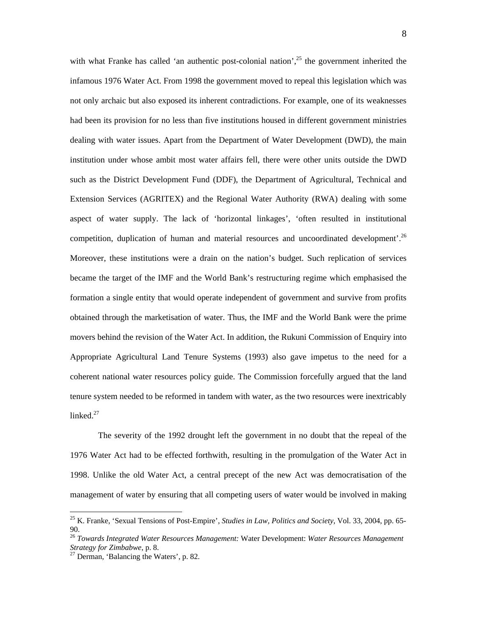with what Franke has called 'an authentic post-colonial nation',  $2<sup>5</sup>$  the government inherited the infamous 1976 Water Act. From 1998 the government moved to repeal this legislation which was not only archaic but also exposed its inherent contradictions. For example, one of its weaknesses had been its provision for no less than five institutions housed in different government ministries dealing with water issues. Apart from the Department of Water Development (DWD), the main institution under whose ambit most water affairs fell, there were other units outside the DWD such as the District Development Fund (DDF), the Department of Agricultural, Technical and Extension Services (AGRITEX) and the Regional Water Authority (RWA) dealing with some aspect of water supply. The lack of 'horizontal linkages', 'often resulted in institutional competition, duplication of human and material resources and uncoordinated development'.<sup>26</sup> Moreover, these institutions were a drain on the nation's budget. Such replication of services became the target of the IMF and the World Bank's restructuring regime which emphasised the formation a single entity that would operate independent of government and survive from profits obtained through the marketisation of water. Thus, the IMF and the World Bank were the prime movers behind the revision of the Water Act. In addition, the Rukuni Commission of Enquiry into Appropriate Agricultural Land Tenure Systems (1993) also gave impetus to the need for a coherent national water resources policy guide. The Commission forcefully argued that the land tenure system needed to be reformed in tandem with water, as the two resources were inextricably linked.<sup>27</sup>

The severity of the 1992 drought left the government in no doubt that the repeal of the 1976 Water Act had to be effected forthwith, resulting in the promulgation of the Water Act in 1998. Unlike the old Water Act, a central precept of the new Act was democratisation of the management of water by ensuring that all competing users of water would be involved in making

<sup>25</sup> K. Franke, 'Sexual Tensions of Post-Empire', *Studies in Law, Politics and Society*, Vol. 33, 2004, pp. 65- 90.

<sup>26</sup> *Towards Integrated Water Resources Management:* Water Development: *Water Resources Management* 

<sup>&</sup>lt;sup>27</sup> Derman, 'Balancing the Waters', p. 82.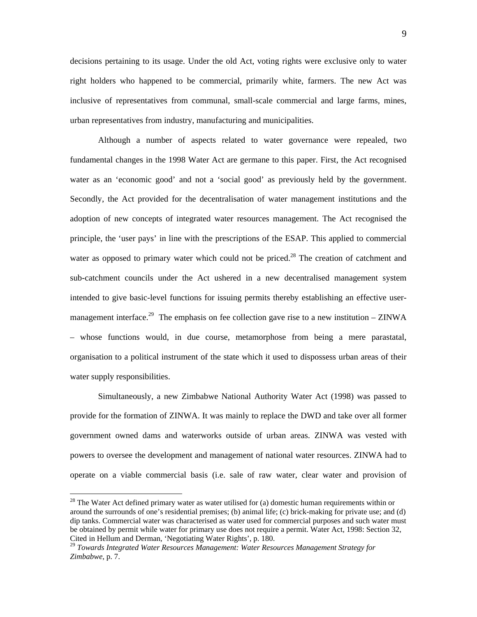decisions pertaining to its usage. Under the old Act, voting rights were exclusive only to water right holders who happened to be commercial, primarily white, farmers. The new Act was inclusive of representatives from communal, small-scale commercial and large farms, mines, urban representatives from industry, manufacturing and municipalities.

Although a number of aspects related to water governance were repealed, two fundamental changes in the 1998 Water Act are germane to this paper. First, the Act recognised water as an 'economic good' and not a 'social good' as previously held by the government. Secondly, the Act provided for the decentralisation of water management institutions and the adoption of new concepts of integrated water resources management. The Act recognised the principle, the 'user pays' in line with the prescriptions of the ESAP. This applied to commercial water as opposed to primary water which could not be priced.<sup>28</sup> The creation of catchment and sub-catchment councils under the Act ushered in a new decentralised management system intended to give basic-level functions for issuing permits thereby establishing an effective usermanagement interface.<sup>29</sup> The emphasis on fee collection gave rise to a new institution – ZINWA – whose functions would, in due course, metamorphose from being a mere parastatal, organisation to a political instrument of the state which it used to dispossess urban areas of their water supply responsibilities.

Simultaneously, a new Zimbabwe National Authority Water Act (1998) was passed to provide for the formation of ZINWA. It was mainly to replace the DWD and take over all former government owned dams and waterworks outside of urban areas. ZINWA was vested with powers to oversee the development and management of national water resources. ZINWA had to operate on a viable commercial basis (i.e. sale of raw water, clear water and provision of

 $28$  The Water Act defined primary water as water utilised for (a) domestic human requirements within or around the surrounds of one's residential premises; (b) animal life; (c) brick-making for private use; and (d) dip tanks. Commercial water was characterised as water used for commercial purposes and such water must be obtained by permit while water for primary use does not require a permit. Water Act, 1998: Section 32, Cited in Hellum and Derman, 'Negotiating Water Rights', p. 180.

<sup>29</sup> *Towards Integrated Water Resources Management: Water Resources Management Strategy for Zimbabwe*, p. 7.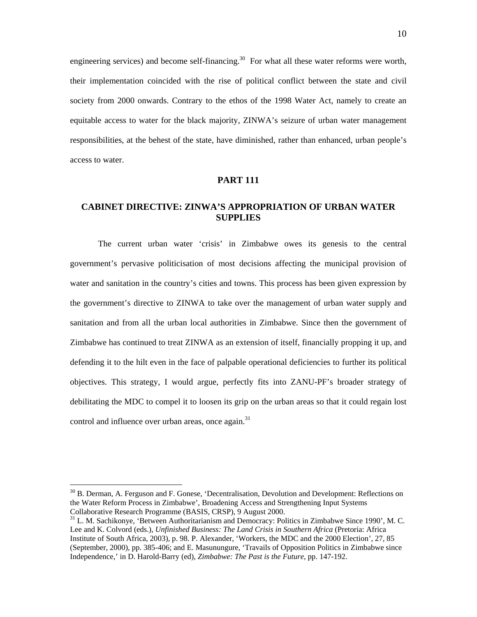engineering services) and become self-financing.<sup>30</sup> For what all these water reforms were worth, their implementation coincided with the rise of political conflict between the state and civil society from 2000 onwards. Contrary to the ethos of the 1998 Water Act, namely to create an equitable access to water for the black majority, ZINWA's seizure of urban water management responsibilities, at the behest of the state, have diminished, rather than enhanced, urban people's access to water.

### **PART 111**

## **CABINET DIRECTIVE: ZINWA'S APPROPRIATION OF URBAN WATER SUPPLIES**

The current urban water 'crisis' in Zimbabwe owes its genesis to the central government's pervasive politicisation of most decisions affecting the municipal provision of water and sanitation in the country's cities and towns. This process has been given expression by the government's directive to ZINWA to take over the management of urban water supply and sanitation and from all the urban local authorities in Zimbabwe. Since then the government of Zimbabwe has continued to treat ZINWA as an extension of itself, financially propping it up, and defending it to the hilt even in the face of palpable operational deficiencies to further its political objectives. This strategy, I would argue, perfectly fits into ZANU-PF's broader strategy of debilitating the MDC to compel it to loosen its grip on the urban areas so that it could regain lost control and influence over urban areas, once again. $31$ 

 $30$  B. Derman, A. Ferguson and F. Gonese, 'Decentralisation, Devolution and Development: Reflections on the Water Reform Process in Zimbabwe', Broadening Access and Strengthening Input Systems Collaborative Research Programme (BASIS, CRSP), 9 August 2000.

<sup>&</sup>lt;sup>31</sup> L. M. Sachikonye, 'Between Authoritarianism and Democracy: Politics in Zimbabwe Since 1990', M. C. Lee and K. Colvord (eds.), *Unfinished Business: The Land Crisis in Southern Africa* (Pretoria: Africa Institute of South Africa, 2003), p. 98. P. Alexander, 'Workers, the MDC and the 2000 Election', 27, 85 (September, 2000), pp. 385-406; and E. Masunungure, 'Travails of Opposition Politics in Zimbabwe since Independence,' in D. Harold-Barry (ed), *Zimbabwe: The Past is the Future*, pp. 147-192.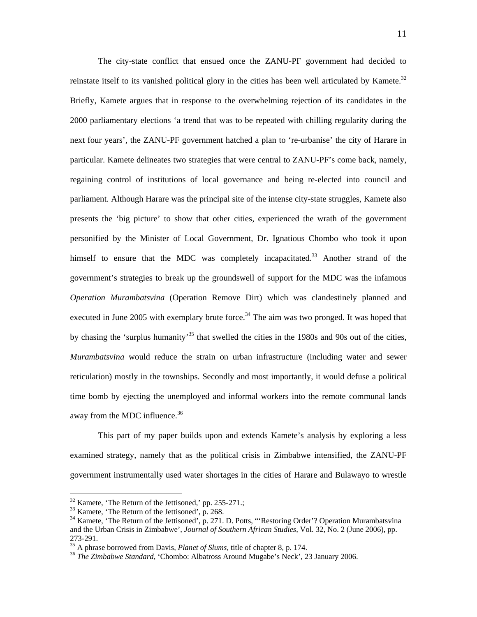The city-state conflict that ensued once the ZANU-PF government had decided to reinstate itself to its vanished political glory in the cities has been well articulated by Kamete.<sup>32</sup> Briefly, Kamete argues that in response to the overwhelming rejection of its candidates in the 2000 parliamentary elections 'a trend that was to be repeated with chilling regularity during the next four years', the ZANU-PF government hatched a plan to 're-urbanise' the city of Harare in particular. Kamete delineates two strategies that were central to ZANU-PF's come back, namely, regaining control of institutions of local governance and being re-elected into council and parliament. Although Harare was the principal site of the intense city-state struggles, Kamete also presents the 'big picture' to show that other cities, experienced the wrath of the government personified by the Minister of Local Government, Dr. Ignatious Chombo who took it upon himself to ensure that the MDC was completely incapacitated.<sup>33</sup> Another strand of the government's strategies to break up the groundswell of support for the MDC was the infamous *Operation Murambatsvina* (Operation Remove Dirt) which was clandestinely planned and executed in June 2005 with exemplary brute force.<sup>34</sup> The aim was two pronged. It was hoped that by chasing the 'surplus humanity'<sup>35</sup> that swelled the cities in the 1980s and 90s out of the cities, *Murambatsvina* would reduce the strain on urban infrastructure (including water and sewer reticulation) mostly in the townships. Secondly and most importantly, it would defuse a political time bomb by ejecting the unemployed and informal workers into the remote communal lands away from the MDC influence.<sup>36</sup>

This part of my paper builds upon and extends Kamete's analysis by exploring a less examined strategy, namely that as the political crisis in Zimbabwe intensified, the ZANU-PF government instrumentally used water shortages in the cities of Harare and Bulawayo to wrestle

 $32$  Kamete, 'The Return of the Jettisoned,' pp. 255-271.;

<sup>&</sup>lt;sup>33</sup> Kamete, 'The Return of the Jettisoned', p. 268.

<sup>&</sup>lt;sup>34</sup> Kamete, 'The Return of the Jettisoned', p. 271. D. Potts, "'Restoring Order'? Operation Murambatsvina and the Urban Crisis in Zimbabwe', *Journal of Southern African Studies*, Vol. 32, No. 2 (June 2006), pp. 273-291.<br><sup>35</sup> A phrase borrowed from Davis, *Planet of Slums*, title of chapter 8, p. 174.

<sup>&</sup>lt;sup>36</sup> The Zimbabwe Standard, 'Chombo: Albatross Around Mugabe's Neck', 23 January 2006.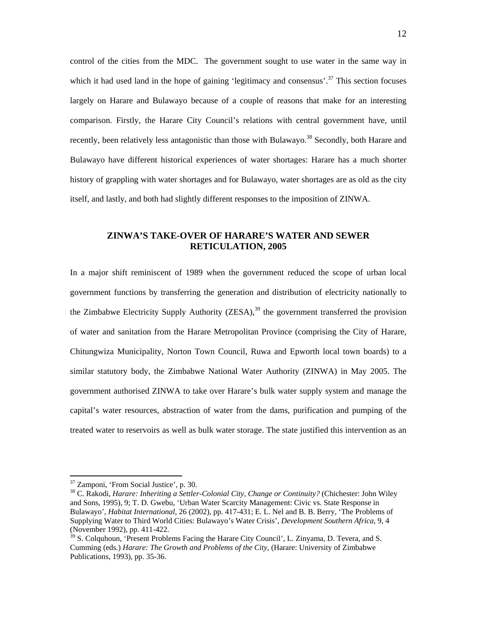control of the cities from the MDC. The government sought to use water in the same way in which it had used land in the hope of gaining 'legitimacy and consensus'.<sup>37</sup> This section focuses largely on Harare and Bulawayo because of a couple of reasons that make for an interesting comparison. Firstly, the Harare City Council's relations with central government have, until recently, been relatively less antagonistic than those with Bulawayo.<sup>38</sup> Secondly, both Harare and Bulawayo have different historical experiences of water shortages: Harare has a much shorter history of grappling with water shortages and for Bulawayo, water shortages are as old as the city itself, and lastly, and both had slightly different responses to the imposition of ZINWA.

## **ZINWA'S TAKE-OVER OF HARARE'S WATER AND SEWER RETICULATION, 2005**

In a major shift reminiscent of 1989 when the government reduced the scope of urban local government functions by transferring the generation and distribution of electricity nationally to the Zimbabwe Electricity Supply Authority  $(ZESA)$ ,<sup>39</sup> the government transferred the provision of water and sanitation from the Harare Metropolitan Province (comprising the City of Harare, Chitungwiza Municipality, Norton Town Council, Ruwa and Epworth local town boards) to a similar statutory body, the Zimbabwe National Water Authority (ZINWA) in May 2005. The government authorised ZINWA to take over Harare's bulk water supply system and manage the capital's water resources, abstraction of water from the dams, purification and pumping of the treated water to reservoirs as well as bulk water storage. The state justified this intervention as an

<sup>37</sup> Zamponi, 'From Social Justice', p. 30.

<sup>38</sup> C. Rakodi, *Harare: Inheriting a Settler-Colonial City, Change or Continuity?* (Chichester: John Wiley and Sons, 1995), 9; T. D. Gwebu, 'Urban Water Scarcity Management: Civic vs. State Response in Bulawayo', *Habitat International*, 26 (2002), pp. 417-431; E. L. Nel and B. B. Berry, 'The Problems of Supplying Water to Third World Cities: Bulawayo's Water Crisis', *Development Southern Africa*, 9, 4 (November 1992), pp. 411-422.

<sup>&</sup>lt;sup>39</sup> S. Colquhoun, 'Present Problems Facing the Harare City Council', L. Zinyama, D. Tevera, and S. Cumming (eds.) *Harare: The Growth and Problems of the City*, (Harare: University of Zimbabwe Publications, 1993), pp. 35-36.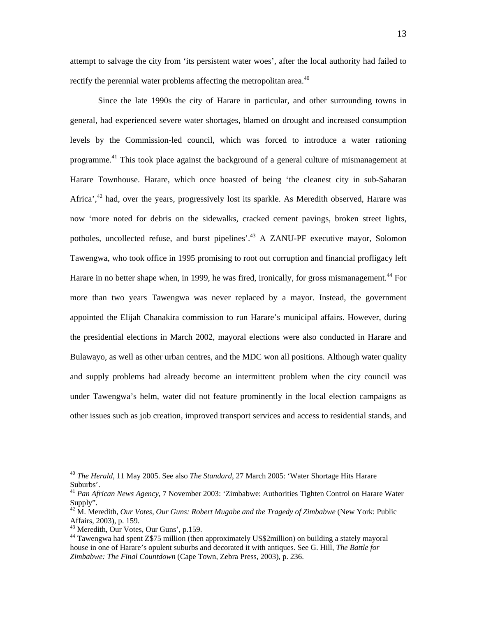attempt to salvage the city from 'its persistent water woes', after the local authority had failed to rectify the perennial water problems affecting the metropolitan area.<sup>40</sup>

Since the late 1990s the city of Harare in particular, and other surrounding towns in general, had experienced severe water shortages, blamed on drought and increased consumption levels by the Commission-led council, which was forced to introduce a water rationing programme.<sup>41</sup> This took place against the background of a general culture of mismanagement at Harare Townhouse. Harare, which once boasted of being 'the cleanest city in sub-Saharan Africa', $42$  had, over the years, progressively lost its sparkle. As Meredith observed, Harare was now 'more noted for debris on the sidewalks, cracked cement pavings, broken street lights, potholes, uncollected refuse, and burst pipelines'.43 A ZANU-PF executive mayor, Solomon Tawengwa, who took office in 1995 promising to root out corruption and financial profligacy left Harare in no better shape when, in 1999, he was fired, ironically, for gross mismanagement.<sup>44</sup> For more than two years Tawengwa was never replaced by a mayor. Instead, the government appointed the Elijah Chanakira commission to run Harare's municipal affairs. However, during the presidential elections in March 2002, mayoral elections were also conducted in Harare and Bulawayo, as well as other urban centres, and the MDC won all positions. Although water quality and supply problems had already become an intermittent problem when the city council was under Tawengwa's helm, water did not feature prominently in the local election campaigns as other issues such as job creation, improved transport services and access to residential stands, and

<sup>40</sup> *The Herald*, 11 May 2005. See also *The Standard*, 27 March 2005: 'Water Shortage Hits Harare Suburbs'.

<sup>41</sup> *Pan African News Agency*, 7 November 2003: 'Zimbabwe: Authorities Tighten Control on Harare Water Supply".

<sup>42</sup> M. Meredith, *Our Votes, Our Guns: Robert Mugabe and the Tragedy of Zimbabwe* (New York: Public Affairs, 2003), p. 159.

<sup>43</sup> Meredith, Our Votes, Our Guns', p.159.

<sup>44</sup> Tawengwa had spent Z\$75 million (then approximately US\$2million) on building a stately mayoral house in one of Harare's opulent suburbs and decorated it with antiques. See G. Hill, *The Battle for Zimbabwe: The Final Countdown* (Cape Town, Zebra Press, 2003), p. 236.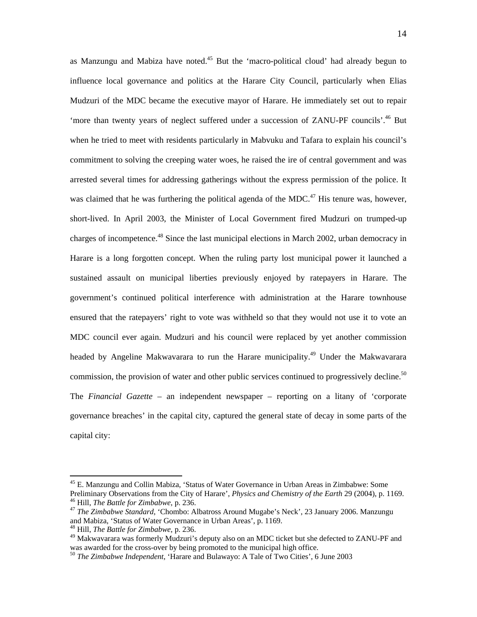as Manzungu and Mabiza have noted.<sup>45</sup> But the 'macro-political cloud' had already begun to influence local governance and politics at the Harare City Council, particularly when Elias Mudzuri of the MDC became the executive mayor of Harare. He immediately set out to repair 'more than twenty years of neglect suffered under a succession of ZANU-PF councils'.<sup>46</sup> But when he tried to meet with residents particularly in Mabvuku and Tafara to explain his council's commitment to solving the creeping water woes, he raised the ire of central government and was arrested several times for addressing gatherings without the express permission of the police. It was claimed that he was furthering the political agenda of the MDC.<sup>47</sup> His tenure was, however, short-lived. In April 2003, the Minister of Local Government fired Mudzuri on trumped-up charges of incompetence.<sup>48</sup> Since the last municipal elections in March 2002, urban democracy in Harare is a long forgotten concept. When the ruling party lost municipal power it launched a sustained assault on municipal liberties previously enjoyed by ratepayers in Harare. The government's continued political interference with administration at the Harare townhouse ensured that the ratepayers' right to vote was withheld so that they would not use it to vote an MDC council ever again. Mudzuri and his council were replaced by yet another commission headed by Angeline Makwavarara to run the Harare municipality.<sup>49</sup> Under the Makwavarara commission, the provision of water and other public services continued to progressively decline.<sup>50</sup> The *Financial Gazette* – an independent newspaper – reporting on a litany of 'corporate governance breaches' in the capital city, captured the general state of decay in some parts of the capital city:

<sup>45</sup> E. Manzungu and Collin Mabiza, 'Status of Water Governance in Urban Areas in Zimbabwe: Some Preliminary Observations from the City of Harare', *Physics and Chemistry of the Earth* 29 (2004), p. 1169.<br><sup>46</sup> Hill, *The Battle for Zimbabwe*, p. 236.<br><sup>47</sup> The Zimbabwe Standard, 'Chombo: Albatross Around Mugabe's Neck'

and Mabiza, 'Status of Water Governance in Urban Areas', p. 1169. 48 Hill, *The Battle for Zimbabwe*, p. 236.

<sup>49</sup> Makwavarara was formerly Mudzuri's deputy also on an MDC ticket but she defected to ZANU-PF and was awarded for the cross-over by being promoted to the municipal high office.

<sup>50</sup> *The Zimbabwe Independent*, 'Harare and Bulawayo: A Tale of Two Cities', 6 June 2003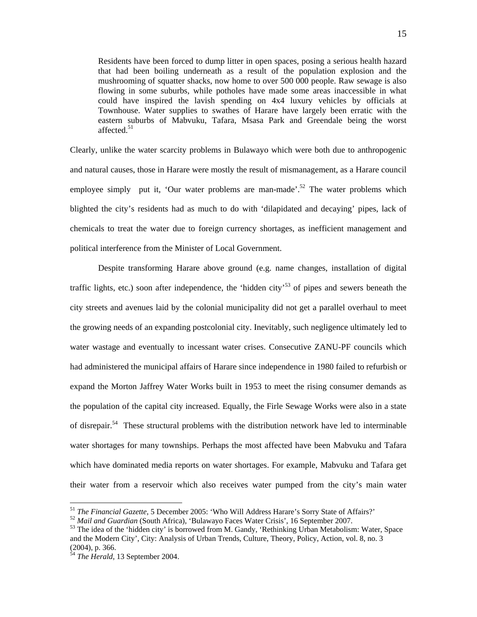Residents have been forced to dump litter in open spaces, posing a serious health hazard that had been boiling underneath as a result of the population explosion and the mushrooming of squatter shacks, now home to over 500 000 people. Raw sewage is also flowing in some suburbs, while potholes have made some areas inaccessible in what could have inspired the lavish spending on 4x4 luxury vehicles by officials at Townhouse. Water supplies to swathes of Harare have largely been erratic with the eastern suburbs of Mabvuku, Tafara, Msasa Park and Greendale being the worst affected. $51$ 

Clearly, unlike the water scarcity problems in Bulawayo which were both due to anthropogenic and natural causes, those in Harare were mostly the result of mismanagement, as a Harare council employee simply put it, 'Our water problems are man-made'.<sup>52</sup> The water problems which blighted the city's residents had as much to do with 'dilapidated and decaying' pipes, lack of chemicals to treat the water due to foreign currency shortages, as inefficient management and political interference from the Minister of Local Government.

Despite transforming Harare above ground (e.g. name changes, installation of digital traffic lights, etc.) soon after independence, the 'hidden city'<sup>53</sup> of pipes and sewers beneath the city streets and avenues laid by the colonial municipality did not get a parallel overhaul to meet the growing needs of an expanding postcolonial city. Inevitably, such negligence ultimately led to water wastage and eventually to incessant water crises. Consecutive ZANU-PF councils which had administered the municipal affairs of Harare since independence in 1980 failed to refurbish or expand the Morton Jaffrey Water Works built in 1953 to meet the rising consumer demands as the population of the capital city increased. Equally, the Firle Sewage Works were also in a state of disrepair.54 These structural problems with the distribution network have led to interminable water shortages for many townships. Perhaps the most affected have been Mabvuku and Tafara which have dominated media reports on water shortages. For example, Mabvuku and Tafara get their water from a reservoir which also receives water pumped from the city's main water

<sup>&</sup>lt;sup>51</sup> The Financial Gazette, 5 December 2005: 'Who Will Address Harare's Sorry State of Affairs?'

 $52$  *Mail and Guardian* (South Africa), 'Bulawayo Faces Water Crisis', 16 September 2007.<br><sup>53</sup> The idea of the 'hidden city' is borrowed from M. Gandy, 'Rethinking Urban Metabolism: Water, Space and the Modern City', City: Analysis of Urban Trends, Culture, Theory, Policy, Action, vol. 8, no. 3 (2004), p. 366.

<sup>54</sup> *The Herald*, 13 September 2004.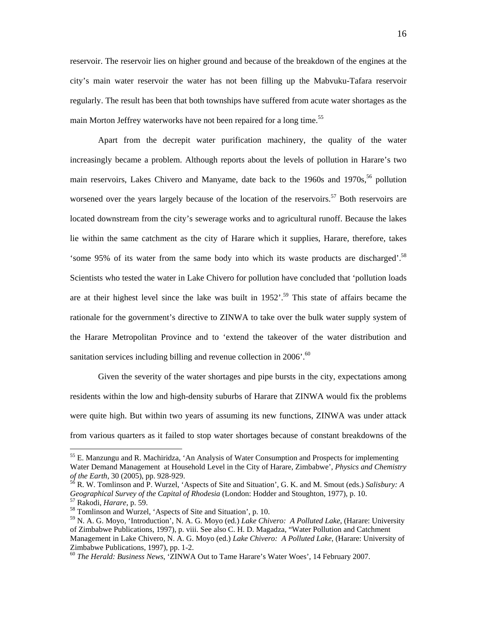reservoir. The reservoir lies on higher ground and because of the breakdown of the engines at the city's main water reservoir the water has not been filling up the Mabvuku-Tafara reservoir regularly. The result has been that both townships have suffered from acute water shortages as the main Morton Jeffrey waterworks have not been repaired for a long time.<sup>55</sup>

Apart from the decrepit water purification machinery, the quality of the water increasingly became a problem. Although reports about the levels of pollution in Harare's two main reservoirs, Lakes Chivero and Manyame, date back to the 1960s and 1970s,  $56$  pollution worsened over the years largely because of the location of the reservoirs.<sup>57</sup> Both reservoirs are located downstream from the city's sewerage works and to agricultural runoff. Because the lakes lie within the same catchment as the city of Harare which it supplies, Harare, therefore, takes 'some 95% of its water from the same body into which its waste products are discharged'.58 Scientists who tested the water in Lake Chivero for pollution have concluded that 'pollution loads are at their highest level since the lake was built in  $1952'$ .<sup>59</sup> This state of affairs became the rationale for the government's directive to ZINWA to take over the bulk water supply system of the Harare Metropolitan Province and to 'extend the takeover of the water distribution and sanitation services including billing and revenue collection in 2006'.<sup>60</sup>

Given the severity of the water shortages and pipe bursts in the city, expectations among residents within the low and high-density suburbs of Harare that ZINWA would fix the problems were quite high. But within two years of assuming its new functions, ZINWA was under attack from various quarters as it failed to stop water shortages because of constant breakdowns of the

<sup>&</sup>lt;sup>55</sup> E. Manzungu and R. Machiridza, 'An Analysis of Water Consumption and Prospects for implementing Water Demand Management at Household Level in the City of Harare, Zimbabwe', *Physics and Chemistry of the Earth*, 30 (2005), pp. 928-929.<br><sup>56</sup> R. W. Tomlinson and P. Wurzel, 'Aspects of Site and Situation', G. K. and M. Smout (eds.) *Salisbury: A* 

*Geographical Survey of the Capital of Rhodesia* (London: Hodder and Stoughton, 1977), p. 10.<br><sup>57</sup> Rakodi, *Harare*, p. 59.<br><sup>58</sup> Tomlinson and Wurzel, 'Aspects of Site and Situation', p. 10.

<sup>59</sup> N. A. G. Moyo, 'Introduction', N. A. G. Moyo (ed.) *Lake Chivero: A Polluted Lake*, (Harare: University of Zimbabwe Publications, 1997), p. viii. See also C. H. D. Magadza, "Water Pollution and Catchment Management in Lake Chivero, N. A. G. Moyo (ed.) *Lake Chivero: A Polluted Lake*, (Harare: University of Zimbabwe Publications, 1997), pp. 1-2.

<sup>60</sup> *The Herald: Business News*, 'ZINWA Out to Tame Harare's Water Woes', 14 February 2007.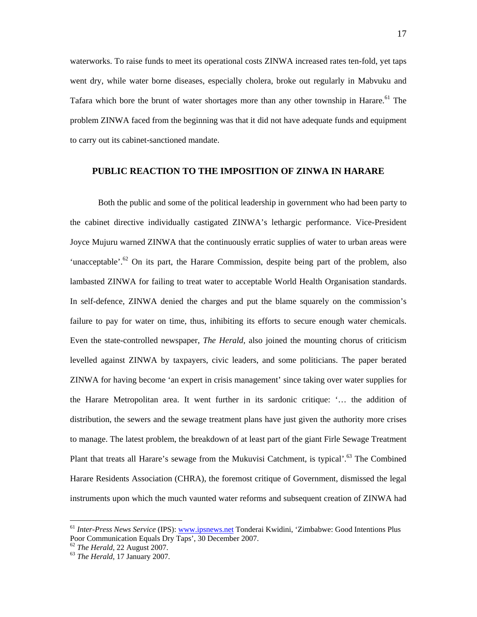waterworks. To raise funds to meet its operational costs ZINWA increased rates ten-fold, yet taps went dry, while water borne diseases, especially cholera, broke out regularly in Mabvuku and Tafara which bore the brunt of water shortages more than any other township in Harare.<sup>61</sup> The problem ZINWA faced from the beginning was that it did not have adequate funds and equipment to carry out its cabinet-sanctioned mandate.

#### **PUBLIC REACTION TO THE IMPOSITION OF ZINWA IN HARARE**

Both the public and some of the political leadership in government who had been party to the cabinet directive individually castigated ZINWA's lethargic performance. Vice-President Joyce Mujuru warned ZINWA that the continuously erratic supplies of water to urban areas were 'unacceptable'.<sup>62</sup> On its part, the Harare Commission, despite being part of the problem, also lambasted ZINWA for failing to treat water to acceptable World Health Organisation standards. In self-defence, ZINWA denied the charges and put the blame squarely on the commission's failure to pay for water on time, thus, inhibiting its efforts to secure enough water chemicals. Even the state-controlled newspaper, *The Herald*, also joined the mounting chorus of criticism levelled against ZINWA by taxpayers, civic leaders, and some politicians. The paper berated ZINWA for having become 'an expert in crisis management' since taking over water supplies for the Harare Metropolitan area. It went further in its sardonic critique: '… the addition of distribution, the sewers and the sewage treatment plans have just given the authority more crises to manage. The latest problem, the breakdown of at least part of the giant Firle Sewage Treatment Plant that treats all Harare's sewage from the Mukuvisi Catchment, is typical'.<sup>63</sup> The Combined Harare Residents Association (CHRA), the foremost critique of Government, dismissed the legal instruments upon which the much vaunted water reforms and subsequent creation of ZINWA had

<sup>61</sup> *Inter-Press News Service* (IPS): www.ipsnews.net Tonderai Kwidini, 'Zimbabwe: Good Intentions Plus Poor Communication Equals Dry Taps', 30 December 2007. 62 *The Herald*, 22 August 2007. 63 *The Herald*, 17 January 2007.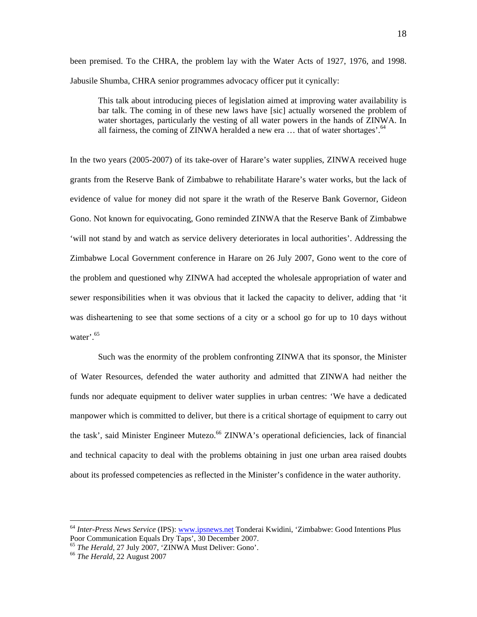been premised. To the CHRA, the problem lay with the Water Acts of 1927, 1976, and 1998. Jabusile Shumba, CHRA senior programmes advocacy officer put it cynically:

This talk about introducing pieces of legislation aimed at improving water availability is bar talk. The coming in of these new laws have [sic] actually worsened the problem of water shortages, particularly the vesting of all water powers in the hands of ZINWA. In all fairness, the coming of ZINWA heralded a new era  $\dots$  that of water shortages'.<sup>64</sup>

In the two years (2005-2007) of its take-over of Harare's water supplies, ZINWA received huge grants from the Reserve Bank of Zimbabwe to rehabilitate Harare's water works, but the lack of evidence of value for money did not spare it the wrath of the Reserve Bank Governor, Gideon Gono. Not known for equivocating, Gono reminded ZINWA that the Reserve Bank of Zimbabwe 'will not stand by and watch as service delivery deteriorates in local authorities'. Addressing the Zimbabwe Local Government conference in Harare on 26 July 2007, Gono went to the core of the problem and questioned why ZINWA had accepted the wholesale appropriation of water and sewer responsibilities when it was obvious that it lacked the capacity to deliver, adding that 'it was disheartening to see that some sections of a city or a school go for up to 10 days without water<sup>'.65</sup>

Such was the enormity of the problem confronting ZINWA that its sponsor, the Minister of Water Resources, defended the water authority and admitted that ZINWA had neither the funds nor adequate equipment to deliver water supplies in urban centres: 'We have a dedicated manpower which is committed to deliver, but there is a critical shortage of equipment to carry out the task', said Minister Engineer Mutezo.<sup>66</sup> ZINWA's operational deficiencies, lack of financial and technical capacity to deal with the problems obtaining in just one urban area raised doubts about its professed competencies as reflected in the Minister's confidence in the water authority.

<sup>&</sup>lt;sup>64</sup> *Inter-Press News Service* (IPS): <u>www.ipsnews.net</u> Tonderai Kwidini, 'Zimbabwe: Good Intentions Plus Poor Communication Equals Dry Taps', 30 December 2007.

<sup>&</sup>lt;sup>65</sup> *The Herald*, 27 July 2007, 'ZINWA Must Deliver: Gono'. 66 *The Herald*, 22 August 2007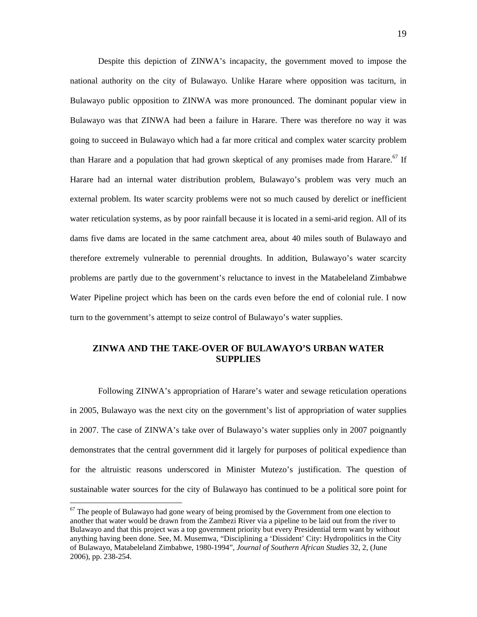Despite this depiction of ZINWA's incapacity, the government moved to impose the national authority on the city of Bulawayo. Unlike Harare where opposition was taciturn, in Bulawayo public opposition to ZINWA was more pronounced. The dominant popular view in Bulawayo was that ZINWA had been a failure in Harare. There was therefore no way it was going to succeed in Bulawayo which had a far more critical and complex water scarcity problem than Harare and a population that had grown skeptical of any promises made from Harare.<sup>67</sup> If Harare had an internal water distribution problem, Bulawayo's problem was very much an external problem. Its water scarcity problems were not so much caused by derelict or inefficient water reticulation systems, as by poor rainfall because it is located in a semi-arid region. All of its dams five dams are located in the same catchment area, about 40 miles south of Bulawayo and therefore extremely vulnerable to perennial droughts. In addition, Bulawayo's water scarcity problems are partly due to the government's reluctance to invest in the Matabeleland Zimbabwe Water Pipeline project which has been on the cards even before the end of colonial rule. I now turn to the government's attempt to seize control of Bulawayo's water supplies.

## **ZINWA AND THE TAKE-OVER OF BULAWAYO'S URBAN WATER SUPPLIES**

Following ZINWA's appropriation of Harare's water and sewage reticulation operations in 2005, Bulawayo was the next city on the government's list of appropriation of water supplies in 2007. The case of ZINWA's take over of Bulawayo's water supplies only in 2007 poignantly demonstrates that the central government did it largely for purposes of political expedience than for the altruistic reasons underscored in Minister Mutezo's justification. The question of sustainable water sources for the city of Bulawayo has continued to be a political sore point for

 $67$  The people of Bulawayo had gone weary of being promised by the Government from one election to another that water would be drawn from the Zambezi River via a pipeline to be laid out from the river to Bulawayo and that this project was a top government priority but every Presidential term want by without anything having been done. See, M. Musemwa, "Disciplining a 'Dissident' City: Hydropolitics in the City of Bulawayo, Matabeleland Zimbabwe, 1980-1994", *Journal of Southern African Studies* 32, 2, (June 2006), pp. 238-254.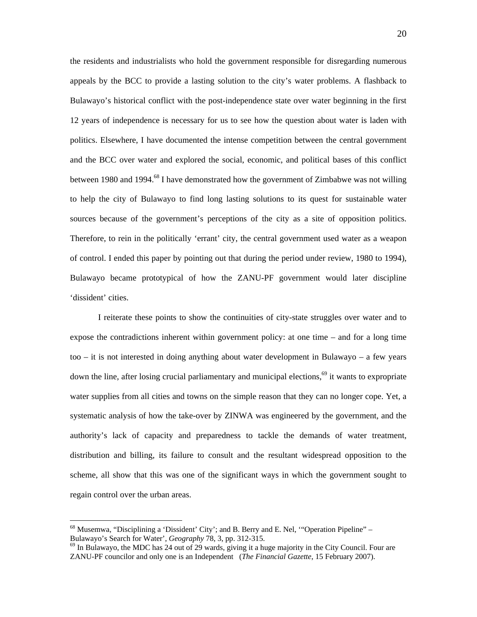the residents and industrialists who hold the government responsible for disregarding numerous appeals by the BCC to provide a lasting solution to the city's water problems. A flashback to Bulawayo's historical conflict with the post-independence state over water beginning in the first 12 years of independence is necessary for us to see how the question about water is laden with politics. Elsewhere, I have documented the intense competition between the central government and the BCC over water and explored the social, economic, and political bases of this conflict between 1980 and 1994.<sup>68</sup> I have demonstrated how the government of Zimbabwe was not willing to help the city of Bulawayo to find long lasting solutions to its quest for sustainable water sources because of the government's perceptions of the city as a site of opposition politics. Therefore, to rein in the politically 'errant' city, the central government used water as a weapon of control. I ended this paper by pointing out that during the period under review, 1980 to 1994), Bulawayo became prototypical of how the ZANU-PF government would later discipline 'dissident' cities.

I reiterate these points to show the continuities of city-state struggles over water and to expose the contradictions inherent within government policy: at one time – and for a long time too – it is not interested in doing anything about water development in Bulawayo – a few years down the line, after losing crucial parliamentary and municipal elections,<sup>69</sup> it wants to expropriate water supplies from all cities and towns on the simple reason that they can no longer cope. Yet, a systematic analysis of how the take-over by ZINWA was engineered by the government, and the authority's lack of capacity and preparedness to tackle the demands of water treatment, distribution and billing, its failure to consult and the resultant widespread opposition to the scheme, all show that this was one of the significant ways in which the government sought to regain control over the urban areas.

<sup>&</sup>lt;sup>68</sup> Musemwa, "Disciplining a 'Dissident' City'; and B. Berry and E. Nel, ""Operation Pipeline" – Bulawayo's Search for Water',  $Geography$  78, 3, pp. 312-315.

<sup>&</sup>lt;sup>69</sup> In Bulawayo, the MDC has 24 out of 29 wards, giving it a huge majority in the City Council. Four are ZANU-PF councilor and only one is an Independent (*The Financial Gazette*, 15 February 2007).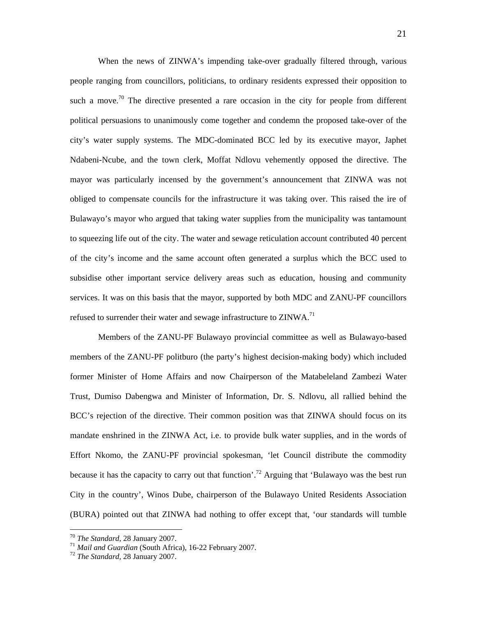When the news of ZINWA's impending take-over gradually filtered through, various people ranging from councillors, politicians, to ordinary residents expressed their opposition to such a move.<sup>70</sup> The directive presented a rare occasion in the city for people from different political persuasions to unanimously come together and condemn the proposed take-over of the city's water supply systems. The MDC-dominated BCC led by its executive mayor, Japhet Ndabeni-Ncube, and the town clerk, Moffat Ndlovu vehemently opposed the directive. The mayor was particularly incensed by the government's announcement that ZINWA was not obliged to compensate councils for the infrastructure it was taking over. This raised the ire of Bulawayo's mayor who argued that taking water supplies from the municipality was tantamount to squeezing life out of the city. The water and sewage reticulation account contributed 40 percent of the city's income and the same account often generated a surplus which the BCC used to subsidise other important service delivery areas such as education, housing and community services. It was on this basis that the mayor, supported by both MDC and ZANU-PF councillors refused to surrender their water and sewage infrastructure to ZINWA.<sup>71</sup>

Members of the ZANU-PF Bulawayo provincial committee as well as Bulawayo-based members of the ZANU-PF politburo (the party's highest decision-making body) which included former Minister of Home Affairs and now Chairperson of the Matabeleland Zambezi Water Trust, Dumiso Dabengwa and Minister of Information, Dr. S. Ndlovu, all rallied behind the BCC's rejection of the directive. Their common position was that ZINWA should focus on its mandate enshrined in the ZINWA Act, i.e. to provide bulk water supplies, and in the words of Effort Nkomo, the ZANU-PF provincial spokesman, 'let Council distribute the commodity because it has the capacity to carry out that function'.<sup>72</sup> Arguing that 'Bulawayo was the best run City in the country', Winos Dube, chairperson of the Bulawayo United Residents Association (BURA) pointed out that ZINWA had nothing to offer except that, 'our standards will tumble

<sup>70</sup> *The Standard*, 28 January 2007. 71 *Mail and Guardian* (South Africa), 16-22 February 2007. 72 *The Standard*, 28 January 2007.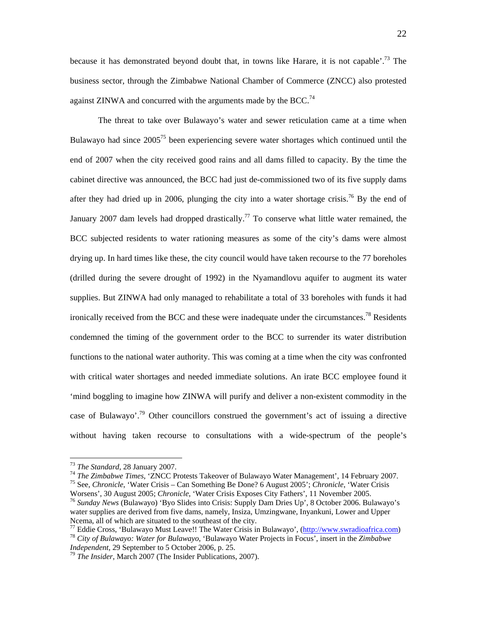because it has demonstrated beyond doubt that, in towns like Harare, it is not capable'.<sup>73</sup> The business sector, through the Zimbabwe National Chamber of Commerce (ZNCC) also protested against ZINWA and concurred with the arguments made by the BCC.<sup>74</sup>

The threat to take over Bulawayo's water and sewer reticulation came at a time when Bulawayo had since  $2005^{75}$  been experiencing severe water shortages which continued until the end of 2007 when the city received good rains and all dams filled to capacity. By the time the cabinet directive was announced, the BCC had just de-commissioned two of its five supply dams after they had dried up in 2006, plunging the city into a water shortage crisis.<sup>76</sup> By the end of January 2007 dam levels had dropped drastically.<sup>77</sup> To conserve what little water remained, the BCC subjected residents to water rationing measures as some of the city's dams were almost drying up. In hard times like these, the city council would have taken recourse to the 77 boreholes (drilled during the severe drought of 1992) in the Nyamandlovu aquifer to augment its water supplies. But ZINWA had only managed to rehabilitate a total of 33 boreholes with funds it had ironically received from the BCC and these were inadequate under the circumstances.<sup>78</sup> Residents condemned the timing of the government order to the BCC to surrender its water distribution functions to the national water authority. This was coming at a time when the city was confronted with critical water shortages and needed immediate solutions. An irate BCC employee found it 'mind boggling to imagine how ZINWA will purify and deliver a non-existent commodity in the case of Bulawayo'.<sup>79</sup> Other councillors construed the government's act of issuing a directive without having taken recourse to consultations with a wide-spectrum of the people's

<sup>&</sup>lt;sup>73</sup> The Standard, 28 January 2007.<br><sup>74</sup> The Zimbabwe Times, 'ZNCC Protests Takeover of Bulawayo Water Management', 14 February 2007.<br><sup>75</sup> See, *Chronicle*, 'Water Crisis – Can Something Be Done? 6 August 2005'; *Chronicl* 

Worsens', 30 August 2005; *Chronicle*, 'Water Crisis Exposes City Fathers', 11 November 2005. 76 *Sunday News* (Bulawayo) 'Byo Slides into Crisis: Supply Dam Dries Up', 8 October 2006. Bulawayo's

water supplies are derived from five dams, namely, Insiza, Umzingwane, Inyankuni, Lower and Upper

<sup>&</sup>lt;sup>77</sup> Eddie Cross, 'Bulawayo Must Leave!! The Water Crisis in Bulawayo', ( $\frac{http://www.swradioafrica.com}{http://www.swradioafrica.com}$ )<sup>78</sup> City of Bulawayo: Water for Bulawayo, 'Bulawayo Water Projects in Focus', insert in the Zimbabwe Independent, 29 Sept

<sup>&</sup>lt;sup>79</sup> The Insider, March 2007 (The Insider Publications, 2007).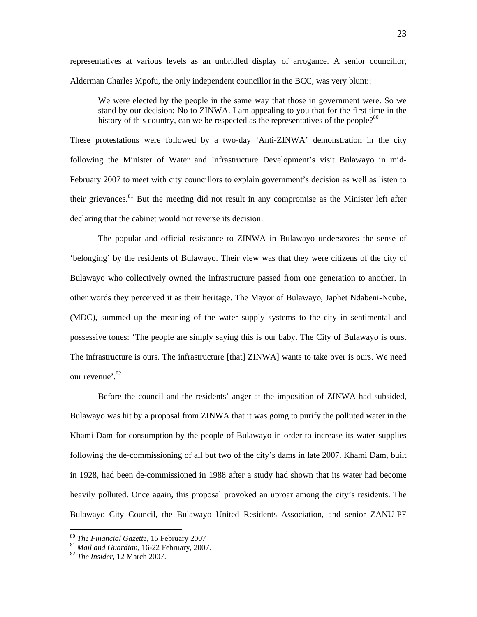representatives at various levels as an unbridled display of arrogance. A senior councillor, Alderman Charles Mpofu, the only independent councillor in the BCC, was very blunt::

We were elected by the people in the same way that those in government were. So we stand by our decision: No to ZINWA. I am appealing to you that for the first time in the history of this country, can we be respected as the representatives of the people? $80$ 

These protestations were followed by a two-day 'Anti-ZINWA' demonstration in the city following the Minister of Water and Infrastructure Development's visit Bulawayo in mid-February 2007 to meet with city councillors to explain government's decision as well as listen to their grievances.<sup>81</sup> But the meeting did not result in any compromise as the Minister left after declaring that the cabinet would not reverse its decision.

The popular and official resistance to ZINWA in Bulawayo underscores the sense of 'belonging' by the residents of Bulawayo. Their view was that they were citizens of the city of Bulawayo who collectively owned the infrastructure passed from one generation to another. In other words they perceived it as their heritage. The Mayor of Bulawayo, Japhet Ndabeni-Ncube, (MDC), summed up the meaning of the water supply systems to the city in sentimental and possessive tones: 'The people are simply saying this is our baby. The City of Bulawayo is ours. The infrastructure is ours. The infrastructure [that] ZINWA] wants to take over is ours. We need our revenue'.82

Before the council and the residents' anger at the imposition of ZINWA had subsided, Bulawayo was hit by a proposal from ZINWA that it was going to purify the polluted water in the Khami Dam for consumption by the people of Bulawayo in order to increase its water supplies following the de-commissioning of all but two of the city's dams in late 2007. Khami Dam, built in 1928, had been de-commissioned in 1988 after a study had shown that its water had become heavily polluted. Once again, this proposal provoked an uproar among the city's residents. The Bulawayo City Council, the Bulawayo United Residents Association, and senior ZANU-PF

<sup>80</sup> *The Financial Gazette*, 15 February 2007 81 *Mail and Guardian*, 16-22 February, 2007. 82 *The Insider*, 12 March 2007.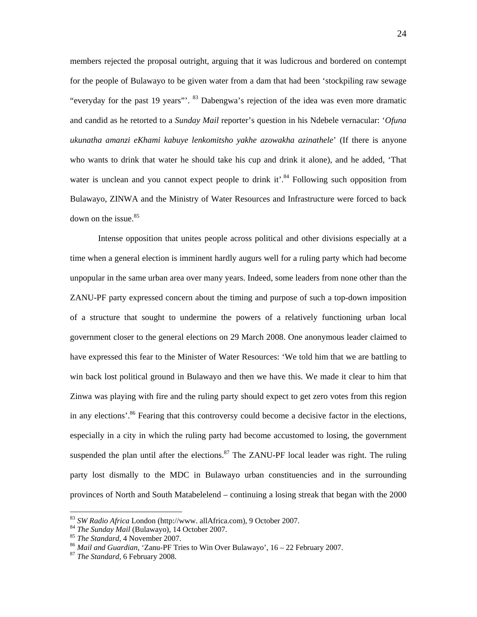members rejected the proposal outright, arguing that it was ludicrous and bordered on contempt for the people of Bulawayo to be given water from a dam that had been 'stockpiling raw sewage "everyday for the past 19 years"<sup>23</sup> Dabengwa's rejection of the idea was even more dramatic and candid as he retorted to a *Sunday Mail* reporter's question in his Ndebele vernacular: '*Ofuna ukunatha amanzi eKhami kabuye lenkomitsho yakhe azowakha azinathele*' (If there is anyone who wants to drink that water he should take his cup and drink it alone), and he added, 'That water is unclean and you cannot expect people to drink it<sup>3,4</sup> Following such opposition from Bulawayo, ZINWA and the Ministry of Water Resources and Infrastructure were forced to back down on the issue. $85$ 

Intense opposition that unites people across political and other divisions especially at a time when a general election is imminent hardly augurs well for a ruling party which had become unpopular in the same urban area over many years. Indeed, some leaders from none other than the ZANU-PF party expressed concern about the timing and purpose of such a top-down imposition of a structure that sought to undermine the powers of a relatively functioning urban local government closer to the general elections on 29 March 2008. One anonymous leader claimed to have expressed this fear to the Minister of Water Resources: 'We told him that we are battling to win back lost political ground in Bulawayo and then we have this. We made it clear to him that Zinwa was playing with fire and the ruling party should expect to get zero votes from this region in any elections'.<sup>86</sup> Fearing that this controversy could become a decisive factor in the elections, especially in a city in which the ruling party had become accustomed to losing, the government suspended the plan until after the elections.<sup>87</sup> The ZANU-PF local leader was right. The ruling party lost dismally to the MDC in Bulawayo urban constituencies and in the surrounding provinces of North and South Matabelelend – continuing a losing streak that began with the 2000

<sup>&</sup>lt;sup>83</sup> SW Radio Africa London (http://www. allAfrica.com), 9 October 2007.<br><sup>84</sup> The Sunday Mail (Bulawayo), 14 October 2007.<br><sup>85</sup> The Standard, 4 November 2007.<br><sup>86</sup> Mail and Guardian, 'Zanu-PF Tries to Win Over Bulawayo',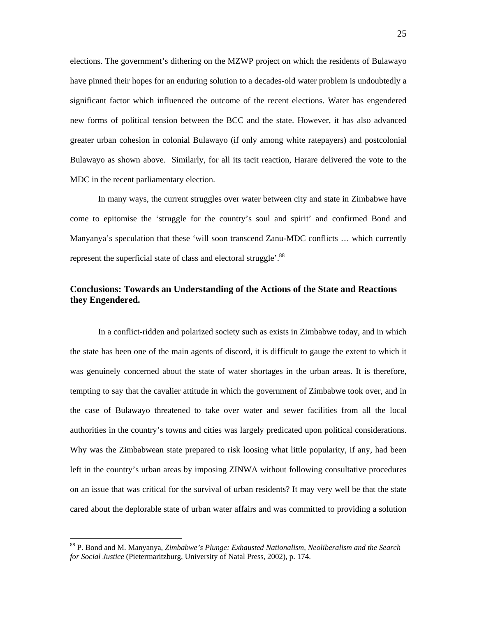elections. The government's dithering on the MZWP project on which the residents of Bulawayo have pinned their hopes for an enduring solution to a decades-old water problem is undoubtedly a significant factor which influenced the outcome of the recent elections. Water has engendered new forms of political tension between the BCC and the state. However, it has also advanced greater urban cohesion in colonial Bulawayo (if only among white ratepayers) and postcolonial Bulawayo as shown above. Similarly, for all its tacit reaction, Harare delivered the vote to the MDC in the recent parliamentary election.

In many ways, the current struggles over water between city and state in Zimbabwe have come to epitomise the 'struggle for the country's soul and spirit' and confirmed Bond and Manyanya's speculation that these 'will soon transcend Zanu-MDC conflicts … which currently represent the superficial state of class and electoral struggle'.<sup>88</sup>

## **Conclusions: Towards an Understanding of the Actions of the State and Reactions they Engendered.**

In a conflict-ridden and polarized society such as exists in Zimbabwe today, and in which the state has been one of the main agents of discord, it is difficult to gauge the extent to which it was genuinely concerned about the state of water shortages in the urban areas. It is therefore, tempting to say that the cavalier attitude in which the government of Zimbabwe took over, and in the case of Bulawayo threatened to take over water and sewer facilities from all the local authorities in the country's towns and cities was largely predicated upon political considerations. Why was the Zimbabwean state prepared to risk loosing what little popularity, if any, had been left in the country's urban areas by imposing ZINWA without following consultative procedures on an issue that was critical for the survival of urban residents? It may very well be that the state cared about the deplorable state of urban water affairs and was committed to providing a solution

<sup>88</sup> P. Bond and M. Manyanya, *Zimbabwe's Plunge: Exhausted Nationalism, Neoliberalism and the Search for Social Justice* (Pietermaritzburg, University of Natal Press, 2002), p. 174.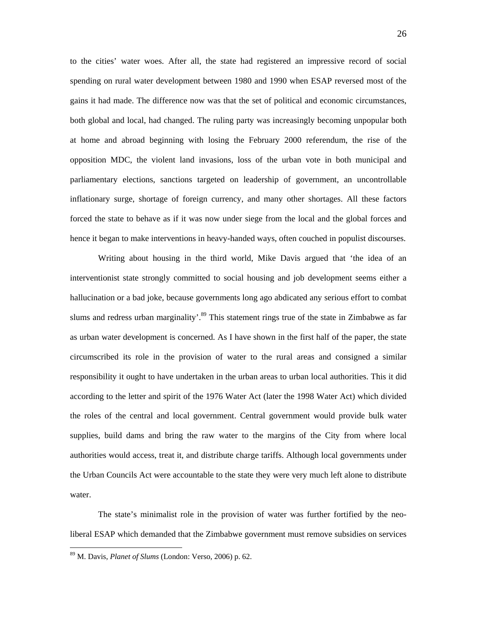to the cities' water woes. After all, the state had registered an impressive record of social spending on rural water development between 1980 and 1990 when ESAP reversed most of the gains it had made. The difference now was that the set of political and economic circumstances, both global and local, had changed. The ruling party was increasingly becoming unpopular both at home and abroad beginning with losing the February 2000 referendum, the rise of the opposition MDC, the violent land invasions, loss of the urban vote in both municipal and parliamentary elections, sanctions targeted on leadership of government, an uncontrollable inflationary surge, shortage of foreign currency, and many other shortages. All these factors forced the state to behave as if it was now under siege from the local and the global forces and hence it began to make interventions in heavy-handed ways, often couched in populist discourses.

 Writing about housing in the third world, Mike Davis argued that 'the idea of an interventionist state strongly committed to social housing and job development seems either a hallucination or a bad joke, because governments long ago abdicated any serious effort to combat slums and redress urban marginality'.<sup>89</sup> This statement rings true of the state in Zimbabwe as far as urban water development is concerned. As I have shown in the first half of the paper, the state circumscribed its role in the provision of water to the rural areas and consigned a similar responsibility it ought to have undertaken in the urban areas to urban local authorities. This it did according to the letter and spirit of the 1976 Water Act (later the 1998 Water Act) which divided the roles of the central and local government. Central government would provide bulk water supplies, build dams and bring the raw water to the margins of the City from where local authorities would access, treat it, and distribute charge tariffs. Although local governments under the Urban Councils Act were accountable to the state they were very much left alone to distribute water.

The state's minimalist role in the provision of water was further fortified by the neoliberal ESAP which demanded that the Zimbabwe government must remove subsidies on services

<sup>89</sup> M. Davis, *Planet of Slums* (London: Verso, 2006) p. 62.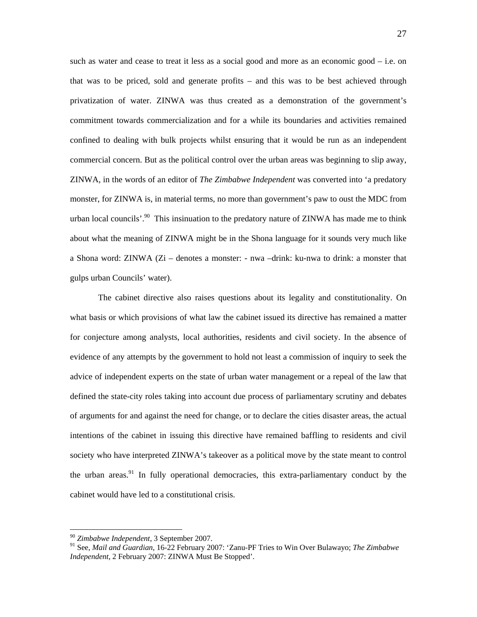such as water and cease to treat it less as a social good and more as an economic good – i.e. on that was to be priced, sold and generate profits – and this was to be best achieved through privatization of water. ZINWA was thus created as a demonstration of the government's commitment towards commercialization and for a while its boundaries and activities remained confined to dealing with bulk projects whilst ensuring that it would be run as an independent commercial concern. But as the political control over the urban areas was beginning to slip away, ZINWA, in the words of an editor of *The Zimbabwe Independent* was converted into 'a predatory monster, for ZINWA is, in material terms, no more than government's paw to oust the MDC from urban local councils'.<sup>90</sup> This insinuation to the predatory nature of ZINWA has made me to think about what the meaning of ZINWA might be in the Shona language for it sounds very much like a Shona word: ZINWA (Zi – denotes a monster: - nwa –drink: ku-nwa to drink: a monster that gulps urban Councils' water).

The cabinet directive also raises questions about its legality and constitutionality. On what basis or which provisions of what law the cabinet issued its directive has remained a matter for conjecture among analysts, local authorities, residents and civil society. In the absence of evidence of any attempts by the government to hold not least a commission of inquiry to seek the advice of independent experts on the state of urban water management or a repeal of the law that defined the state-city roles taking into account due process of parliamentary scrutiny and debates of arguments for and against the need for change, or to declare the cities disaster areas, the actual intentions of the cabinet in issuing this directive have remained baffling to residents and civil society who have interpreted ZINWA's takeover as a political move by the state meant to control the urban areas.<sup>91</sup> In fully operational democracies, this extra-parliamentary conduct by the cabinet would have led to a constitutional crisis.

<sup>90</sup> *Zimbabwe Independent*, 3 September 2007.

<sup>91</sup> See, *Mail and Guardian*, 16-22 February 2007: 'Zanu-PF Tries to Win Over Bulawayo; *The Zimbabwe Independent*, 2 February 2007: ZINWA Must Be Stopped'.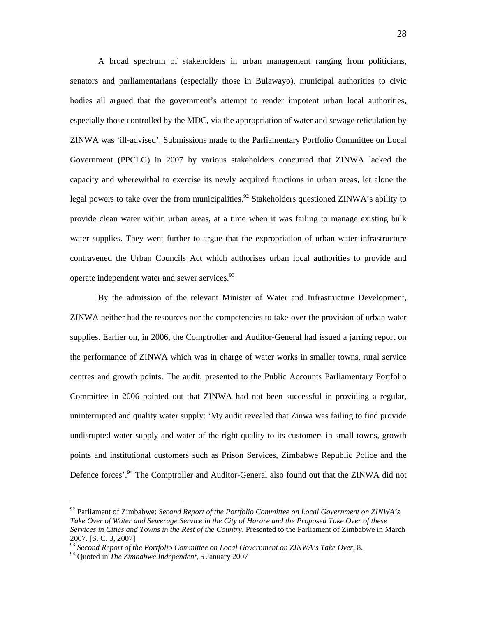A broad spectrum of stakeholders in urban management ranging from politicians, senators and parliamentarians (especially those in Bulawayo), municipal authorities to civic bodies all argued that the government's attempt to render impotent urban local authorities, especially those controlled by the MDC, via the appropriation of water and sewage reticulation by ZINWA was 'ill-advised'. Submissions made to the Parliamentary Portfolio Committee on Local Government (PPCLG) in 2007 by various stakeholders concurred that ZINWA lacked the capacity and wherewithal to exercise its newly acquired functions in urban areas, let alone the legal powers to take over the from municipalities.<sup>92</sup> Stakeholders questioned ZINWA's ability to provide clean water within urban areas, at a time when it was failing to manage existing bulk water supplies. They went further to argue that the expropriation of urban water infrastructure contravened the Urban Councils Act which authorises urban local authorities to provide and operate independent water and sewer services.<sup>93</sup>

By the admission of the relevant Minister of Water and Infrastructure Development, ZINWA neither had the resources nor the competencies to take-over the provision of urban water supplies. Earlier on, in 2006, the Comptroller and Auditor-General had issued a jarring report on the performance of ZINWA which was in charge of water works in smaller towns, rural service centres and growth points. The audit, presented to the Public Accounts Parliamentary Portfolio Committee in 2006 pointed out that ZINWA had not been successful in providing a regular, uninterrupted and quality water supply: 'My audit revealed that Zinwa was failing to find provide undisrupted water supply and water of the right quality to its customers in small towns, growth points and institutional customers such as Prison Services, Zimbabwe Republic Police and the Defence forces'.<sup>94</sup> The Comptroller and Auditor-General also found out that the ZINWA did not

<sup>92</sup> Parliament of Zimbabwe: *Second Report of the Portfolio Committee on Local Government on ZINWA's Take Over of Water and Sewerage Service in the City of Harare and the Proposed Take Over of these Services in Cities and Towns in the Rest of the Country*. Presented to the Parliament of Zimbabwe in March 2007. [S. C. 3, 2007]

<sup>93</sup> *Second Report of the Portfolio Committee on Local Government on ZINWA's Take Over*, 8.

<sup>94</sup> Quoted in *The Zimbabwe Independent*, 5 January 2007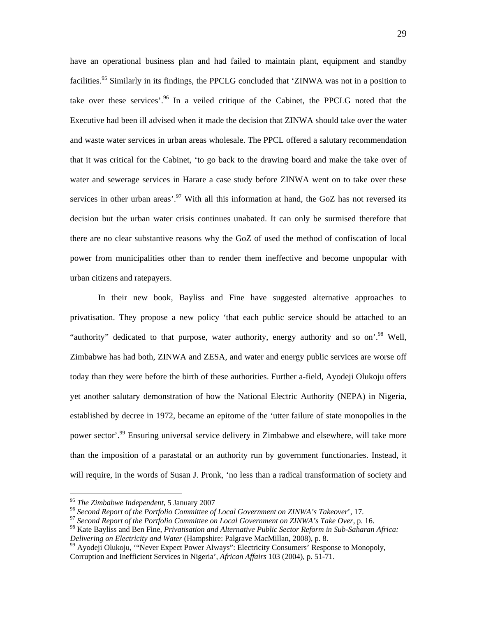have an operational business plan and had failed to maintain plant, equipment and standby facilities.<sup>95</sup> Similarly in its findings, the PPCLG concluded that 'ZINWA was not in a position to take over these services'.<sup>96</sup> In a veiled critique of the Cabinet, the PPCLG noted that the Executive had been ill advised when it made the decision that ZINWA should take over the water and waste water services in urban areas wholesale. The PPCL offered a salutary recommendation that it was critical for the Cabinet, 'to go back to the drawing board and make the take over of water and sewerage services in Harare a case study before ZINWA went on to take over these services in other urban areas'.<sup>97</sup> With all this information at hand, the GoZ has not reversed its decision but the urban water crisis continues unabated. It can only be surmised therefore that there are no clear substantive reasons why the GoZ of used the method of confiscation of local power from municipalities other than to render them ineffective and become unpopular with urban citizens and ratepayers.

In their new book, Bayliss and Fine have suggested alternative approaches to privatisation. They propose a new policy 'that each public service should be attached to an "authority" dedicated to that purpose, water authority, energy authority and so on'.<sup>98</sup> Well, Zimbabwe has had both, ZINWA and ZESA, and water and energy public services are worse off today than they were before the birth of these authorities. Further a-field, Ayodeji Olukoju offers yet another salutary demonstration of how the National Electric Authority (NEPA) in Nigeria, established by decree in 1972, became an epitome of the 'utter failure of state monopolies in the power sector'.<sup>99</sup> Ensuring universal service delivery in Zimbabwe and elsewhere, will take more than the imposition of a parastatal or an authority run by government functionaries. Instead, it will require, in the words of Susan J. Pronk, 'no less than a radical transformation of society and

<sup>&</sup>lt;sup>95</sup> The Zimbabwe Independent, 5 January 2007<br><sup>96</sup> Second Report of the Portfolio Committee of Local Government on ZINWA's Takeover', 17.<br><sup>97</sup> Second Report of the Portfolio Committee on Local Government on ZINWA's Take O

<sup>98</sup> Kate Bayliss and Ben Fine, *Privatisation and Alternative Public Sector Reform in Sub-Saharan Africa:* 

*Delivering on Electricity and Water Court 1*<br><sup>99</sup> Ayodeji Olukoju, ''Never Expect Power Always'': Electricity Consumers' Response to Monopoly, Corruption and Inefficient Services in Nigeria', *African Affairs* 103 (2004), p. 51-71.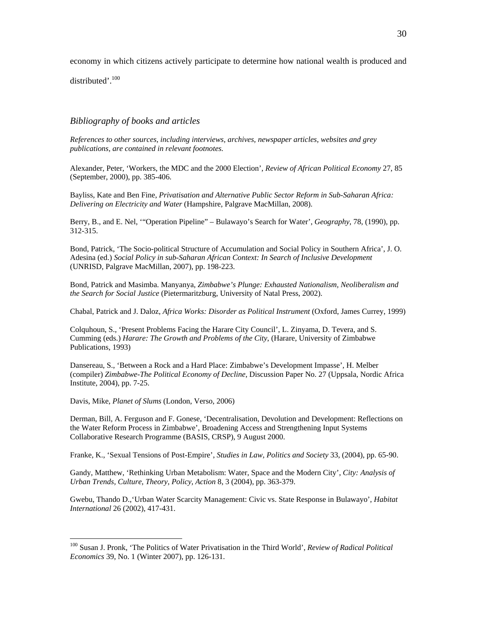economy in which citizens actively participate to determine how national wealth is produced and

distributed'.<sup>100</sup>

#### *Bibliography of books and articles*

*References to other sources, including interviews, archives, newspaper articles, websites and grey publications, are contained in relevant footnotes.* 

Alexander, Peter, 'Workers, the MDC and the 2000 Election', *Review of African Political Economy* 27, 85 (September, 2000), pp. 385-406.

Bayliss, Kate and Ben Fine, *Privatisation and Alternative Public Sector Reform in Sub-Saharan Africa: Delivering on Electricity and Water* (Hampshire, Palgrave MacMillan, 2008).

Berry, B., and E. Nel, '"Operation Pipeline" – Bulawayo's Search for Water', *Geography*, 78, (1990), pp. 312-315.

Bond, Patrick, 'The Socio-political Structure of Accumulation and Social Policy in Southern Africa', J. O. Adesina (ed.) *Social Policy in sub-Saharan African Context: In Search of Inclusive Development*  (UNRISD, Palgrave MacMillan, 2007), pp. 198-223.

Bond, Patrick and Masimba. Manyanya, *Zimbabwe's Plunge: Exhausted Nationalism, Neoliberalism and the Search for Social Justice* (Pietermaritzburg, University of Natal Press, 2002).

Chabal, Patrick and J. Daloz, *Africa Works: Disorder as Political Instrument* (Oxford, James Currey, 1999)

Colquhoun, S., 'Present Problems Facing the Harare City Council', L. Zinyama, D. Tevera, and S. Cumming (eds.) *Harare: The Growth and Problems of the City*, (Harare, University of Zimbabwe Publications, 1993)

Dansereau, S., 'Between a Rock and a Hard Place: Zimbabwe's Development Impasse', H. Melber (compiler) *Zimbabwe-The Political Economy of Decline*, Discussion Paper No. 27 (Uppsala, Nordic Africa Institute, 2004), pp. 7-25.

Davis, Mike, *Planet of Slums* (London, Verso, 2006)

 $\overline{a}$ 

Derman, Bill, A. Ferguson and F. Gonese, 'Decentralisation, Devolution and Development: Reflections on the Water Reform Process in Zimbabwe', Broadening Access and Strengthening Input Systems Collaborative Research Programme (BASIS, CRSP), 9 August 2000.

Franke, K., 'Sexual Tensions of Post-Empire', *Studies in Law, Politics and Society* 33, (2004), pp. 65-90.

Gandy, Matthew, 'Rethinking Urban Metabolism: Water, Space and the Modern City', *City: Analysis of Urban Trends, Culture, Theory, Policy, Action* 8, 3 (2004), pp. 363-379.

Gwebu, Thando D.,'Urban Water Scarcity Management: Civic vs. State Response in Bulawayo', *Habitat International* 26 (2002), 417-431.

<sup>100</sup> Susan J. Pronk, 'The Politics of Water Privatisation in the Third World', *Review of Radical Political Economics* 39, No. 1 (Winter 2007), pp. 126-131.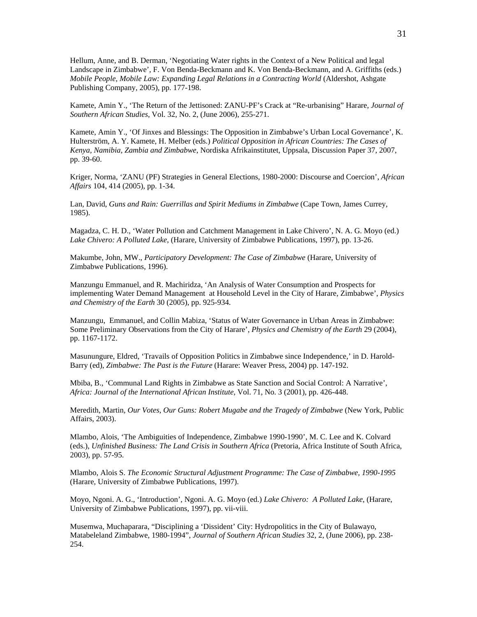Hellum, Anne, and B. Derman, 'Negotiating Water rights in the Context of a New Political and legal Landscape in Zimbabwe', F. Von Benda-Beckmann and K. Von Benda-Beckmann, and A. Griffiths (eds.) *Mobile People, Mobile Law: Expanding Legal Relations in a Contracting World* (Aldershot, Ashgate Publishing Company, 2005), pp. 177-198.

Kamete, Amin Y., 'The Return of the Jettisoned: ZANU-PF's Crack at "Re-urbanising" Harare, *Journal of Southern African Studies*, Vol. 32, No. 2, (June 2006), 255-271.

Kamete, Amin Y., 'Of Jinxes and Blessings: The Opposition in Zimbabwe's Urban Local Governance', K. Hulterström, A. Y. Kamete, H. Melber (eds.) *Political Opposition in African Countries: The Cases of Kenya, Namibia, Zambia and Zimbabwe*, Nordiska Afrikainstitutet, Uppsala, Discussion Paper 37, 2007, pp. 39-60.

Kriger, Norma, 'ZANU (PF) Strategies in General Elections, 1980-2000: Discourse and Coercion', *African Affairs* 104, 414 (2005), pp. 1-34.

Lan, David, *Guns and Rain: Guerrillas and Spirit Mediums in Zimbabwe* (Cape Town, James Currey, 1985).

Magadza, C. H. D., 'Water Pollution and Catchment Management in Lake Chivero', N. A. G. Moyo (ed.) *Lake Chivero: A Polluted Lake*, (Harare, University of Zimbabwe Publications, 1997), pp. 13-26.

Makumbe, John, MW., *Participatory Development: The Case of Zimbabwe* (Harare, University of Zimbabwe Publications, 1996).

Manzungu Emmanuel, and R. Machiridza, 'An Analysis of Water Consumption and Prospects for implementing Water Demand Management at Household Level in the City of Harare, Zimbabwe', *Physics and Chemistry of the Earth* 30 (2005), pp. 925-934.

Manzungu, Emmanuel, and Collin Mabiza, 'Status of Water Governance in Urban Areas in Zimbabwe: Some Preliminary Observations from the City of Harare', *Physics and Chemistry of the Earth* 29 (2004), pp. 1167-1172.

Masunungure, Eldred, 'Travails of Opposition Politics in Zimbabwe since Independence,' in D. Harold-Barry (ed), *Zimbabwe: The Past is the Future* (Harare: Weaver Press, 2004) pp. 147-192.

Mbiba, B., 'Communal Land Rights in Zimbabwe as State Sanction and Social Control: A Narrative', *Africa: Journal of the International African Institute*, Vol. 71, No. 3 (2001), pp. 426-448.

Meredith, Martin*, Our Votes, Our Guns: Robert Mugabe and the Tragedy of Zimbabwe* (New York, Public Affairs, 2003).

Mlambo, Alois, 'The Ambiguities of Independence, Zimbabwe 1990-1990', M. C. Lee and K. Colvard (eds.), *Unfinished Business: The Land Crisis in Southern Africa* (Pretoria, Africa Institute of South Africa, 2003), pp. 57-95.

Mlambo, Alois S. *The Economic Structural Adjustment Programme: The Case of Zimbabwe, 1990-1995* (Harare, University of Zimbabwe Publications, 1997).

Moyo, Ngoni. A. G., 'Introduction', Ngoni. A. G. Moyo (ed.) *Lake Chivero: A Polluted Lake*, (Harare, University of Zimbabwe Publications, 1997), pp. vii-viii.

Musemwa, Muchaparara, "Disciplining a 'Dissident' City: Hydropolitics in the City of Bulawayo, Matabeleland Zimbabwe, 1980-1994", *Journal of Southern African Studies* 32, 2, (June 2006), pp. 238- 254.